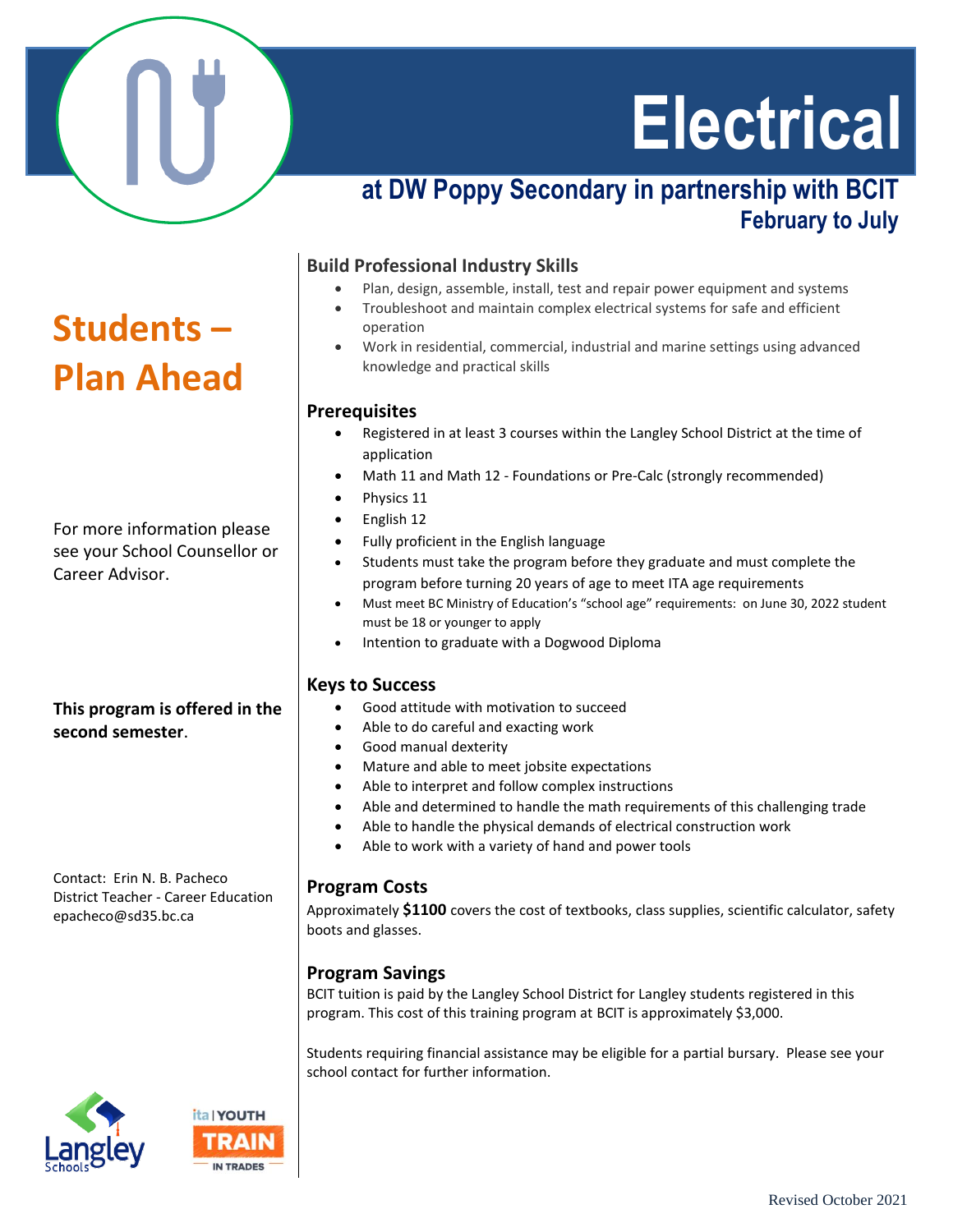

# **Students – Plan Ahead**

For more information please see your School Counsellor or Career Advisor.

#### **This program is offered in the second semester**.

Contact: Erin N. B. Pacheco District Teacher - Career Education epacheco@sd35.bc.ca

# **Electrical**

## **at DW Poppy Secondary in partnership with BCIT February to July**

#### **Build Professional Industry Skills**

- Plan, design, assemble, install, test and repair power equipment and systems
- Troubleshoot and maintain complex electrical systems for safe and efficient operation
- Work in residential, commercial, industrial and marine settings using advanced knowledge and practical skills

#### **Prerequisites**

- Registered in at least 3 courses within the Langley School District at the time of application
- Math 11 and Math 12 Foundations or Pre-Calc (strongly recommended)
- Physics 11
- English 12
- Fully proficient in the English language
- Students must take the program before they graduate and must complete the program before turning 20 years of age to meet ITA age requirements
- Must meet BC Ministry of Education's "school age" requirements: on June 30, 2022 student must be 18 or younger to apply
- Intention to graduate with a Dogwood Diploma

#### **Keys to Success**

- Good attitude with motivation to succeed
- Able to do careful and exacting work
- Good manual dexterity
- Mature and able to meet jobsite expectations
- Able to interpret and follow complex instructions
- Able and determined to handle the math requirements of this challenging trade
- Able to handle the physical demands of electrical construction work
- Able to work with a variety of hand and power tools

#### **Program Costs**

Approximately **\$1100** covers the cost of textbooks, class supplies, scientific calculator, safety boots and glasses.

#### **Program Savings**

BCIT tuition is paid by the Langley School District for Langley students registered in this program. This cost of this training program at BCIT is approximately \$3,000.

Students requiring financial assistance may be eligible for a partial bursary. Please see your school contact for further information.